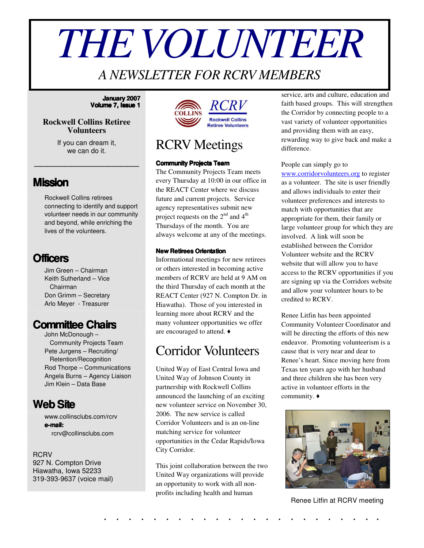# *THEVOLUNTEER*

## *A NEWSLETTER FOR RCRV MEMBERS*

#### **January 2007 Volume 7, Issue 1**

#### **Rockwell Collins Retiree Volunteers**

If you can dream it, we can do it.

\_\_\_\_\_\_\_\_\_\_\_\_\_\_\_\_\_

### **Mission**

Rockwell Collins retirees connecting to identify and support volunteer needs in our community and beyond, while enriching the lives of the volunteers.

## **Officers**

Jim Green – Chairman Keith Sutherland – Vice Chairman Don Grimm – Secretary Arlo Meyer - Treasurer

## **Committee Chairs**

John McDonough – Community Projects Team Pete Jurgens – Recruiting/ Retention/Recognition Rod Thorpe – Communications Angela Burns – Agency Liaison Jim Klein – Data Base

## **WebSite**

www.collinsclubs.com/rcrv **e-mail:** rcrv@collinsclubs.com

#### RCRV

927 N. Compton Drive Hiawatha, Iowa 52233 319-393-9637 (voice mail)



## RCRV Meetings

#### **Community Projects Team**

The Community Projects Team meets every Thursday at 10:00 in our office in the REACT Center where we discuss future and current projects. Service agency representatives submit new project requests on the  $2^{nd}$  and  $4^{th}$ Thursdays of the month. You are always welcome at any of the meetings.

#### **New Retirees Orientation**

Informational meetings for new retirees or others interested in becoming active members of RCRV are held at 9 AM on the third Thursday of each month at the REACT Center (927 N. Compton Dr. in Hiawatha). Those of you interested in learning more about RCRV and the many volunteer opportunities we offer are encouraged to attend.

## Corridor Volunteers

United Way of East Central Iowa and United Way of Johnson County in partnership with Rockwell Collins announced the launching of an exciting new volunteer service on November 30, 2006. The new service is called Corridor Volunteers and is an on-line matching service for volunteer opportunities in the Cedar Rapids/Iowa City Corridor.

This joint collaboration between the two United Way organizations will provide an opportunity to work with all nonprofits including health and human

service, arts and culture, education and faith based groups. This will strengthen the Corridor by connecting people to a vast variety of volunteer opportunities and providing them with an easy, rewarding way to give back and make a difference.

#### People can simply go to

www.corridorvolunteers.org to register as a volunteer. The site is user friendly and allows individuals to enter their volunteer preferences and interests to match with opportunities that are appropriate for them, their family or large volunteer group for which they are involved. A link will soon be established between the Corridor Volunteer website and the RCRV website that will allow you to have access to the RCRV opportunities if you are signing up via the Corridors website and allow your volunteer hours to be credited to RCRV.

Renee Litfin has been appointed Community Volunteer Coordinator and will be directing the efforts of this new endeavor. Promoting volunteerism is a cause that is very near and dear to Renee's heart. Since moving here from Texas ten years ago with her husband and three children she has been very active in volunteer efforts in the community.



Renee Litfin at RCRV meeting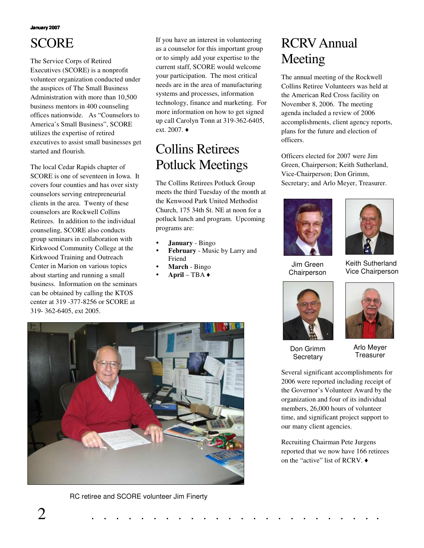# SCORE

The Service Corps of Retired Executives (SCORE) is a nonprofit volunteer organization conducted under the auspices of The Small Business Administration with more than 10,500 business mentors in 400 counseling offices nationwide. As "Counselors to America's Small Business", SCORE utilizes the expertise of retired executives to assist small businesses get started and flourish.

The local Cedar Rapids chapter of SCORE is one of seventeen in Iowa. It covers four counties and has over sixty counselors serving entrepreneurial clients in the area. Twenty of these counselors are Rockwell Collins Retirees. In addition to the individual counseling, SCORE also conducts group seminars in collaboration with Kirkwood Community College at the Kirkwood Training and Outreach Center in Marion on various topics about starting and running a small business. Information on the seminars can be obtained by calling the KTOS center at 319 -377-8256 or SCORE at 319- 362-6405, ext 2005.

If you have an interest in volunteering as a counselor for this important group or to simply add your expertise to the current staff, SCORE would welcome your participation. The most critical needs are in the area of manufacturing systems and processes, information technology, finance and marketing. For more information on how to get signed up call Carolyn Tonn at 319-362-6405, ext. 2007. $\triangleleft$ 

## Collins Retirees Potluck Meetings

The Collins Retirees Potluck Group meets the third Tuesday of the month at the Kenwood Park United Methodist Church, 175 34th St. NE at noon for a potluck lunch and program. Upcoming programs are:

- **January** Bingo
- **February** Music by Larry and Friend
- **March** Bingo
- **April** TBA



The annual meeting of the Rockwell Collins Retiree Volunteers was held at the American Red Cross facility on November 8, 2006. The meeting agenda included a review of 2006 accomplishments, client agency reports, plans for the future and election of officers.

Officers elected for 2007 were Jim Green, Chairperson; Keith Sutherland, Vice-Chairperson; Don Grimm, Secretary; and Arlo Meyer, Treasurer.



Jim Green Chairperson



Keith Sutherland Vice Chairperson



Don Grimm



Arlo Meyer **Treasurer** 

Several significant accomplishments for 2006 were reported including receipt of the Governor's Volunteer Award by the organization and four of its individual members, 26,000 hours of volunteer time, and significant project support to **Secretary** 

Recruiting Chairman Pete Jurgens reported that we now have 166 retirees on the "active" list of RCRV.

our many client agencies.



RC retiree and SCORE volunteer Jim Finerty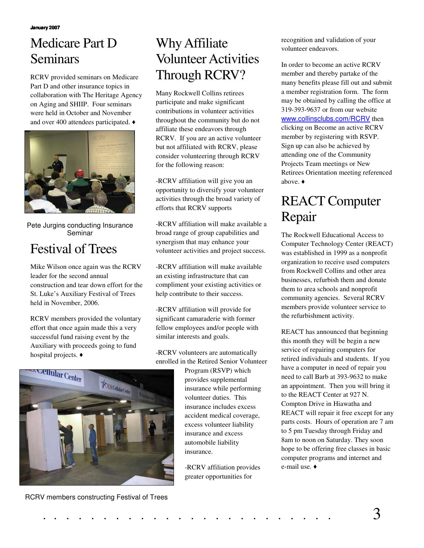## Medicare Part D Seminars

RCRV provided seminars on Medicare Part D and other insurance topics in collaboration with The Heritage Agency on Aging and SHIIP. Four seminars were held in October and November and over 400 attendees participated.  $\triangleleft$ 



Pete Jurgins conducting Insurance Seminar

# Festival of Trees

Mike Wilson once again was the RCRV leader for the second annual construction and tear down effort for the St. Luke's Auxiliary Festival of Trees held in November, 2006.

RCRV members provided the voluntary effort that once again made this a very successful fund raising event by the Auxiliary with proceeds going to fund hospital projects.  $\triangleleft$ 



## Why Affiliate Volunteer Activities Through RCRV?

Many Rockwell Collins retirees participate and make significant contributions in volunteer activities throughout the community but do not affiliate these endeavors through RCRV. If you are an active volunteer but not affiliated with RCRV, please consider volunteering through RCRV for the following reason:

-RCRV affiliation will give you an opportunity to diversify your volunteer activities through the broad variety of efforts that RCRV supports

-RCRV affiliation will make available a broad range of group capabilities and synergism that may enhance your volunteer activities and project success.

-RCRV affiliation will make available an existing infrastructure that can compliment your existing activities or help contribute to their success.

-RCRV affiliation will provide for significant camaraderie with former fellow employees and/or people with similar interests and goals.

-RCRV volunteers are automatically enrolled in the Retired Senior Volunteer

> Program (RSVP) which provides supplemental insurance while performing volunteer duties. This insurance includes excess accident medical coverage, excess volunteer liability insurance and excess automobile liability insurance.

-RCRV affiliation provides greater opportunities for

recognition and validation of your volunteer endeavors.

In order to become an active RCRV member and thereby partake of the many benefits please fill out and submit a member registration form. The form may be obtained by calling the office at 319-393-9637 or from our website www.collinsclubs.com/RCRV then clicking on Become an active RCRV member by registering with RSVP. Sign up can also be achieved by attending one of the Community Projects Team meetings or New Retirees Orientation meeting referenced above. ♦

# REACT Computer Repair

The Rockwell Educational Access to Computer Technology Center (REACT) was established in 1999 as a nonprofit organization to receive used computers from Rockwell Collins and other area businesses, refurbish them and donate them to area schools and nonprofit community agencies. Several RCRV members provide volunteer service to the refurbishment activity.

REACT has announced that beginning this month they will be begin a new service of repairing computers for retired individuals and students. If you have a computer in need of repair you need to call Barb at 393-9632 to make an appointment. Then you will bring it to the REACT Center at 927 N. Compton Drive in Hiawatha and REACT will repair it free except for any parts costs. Hours of operation are 7 am to 5 pm Tuesday through Friday and 8am to noon on Saturday. They soon hope to be offering free classes in basic computer programs and internet and e-mail use.

RCRV members constructing Festival of Trees